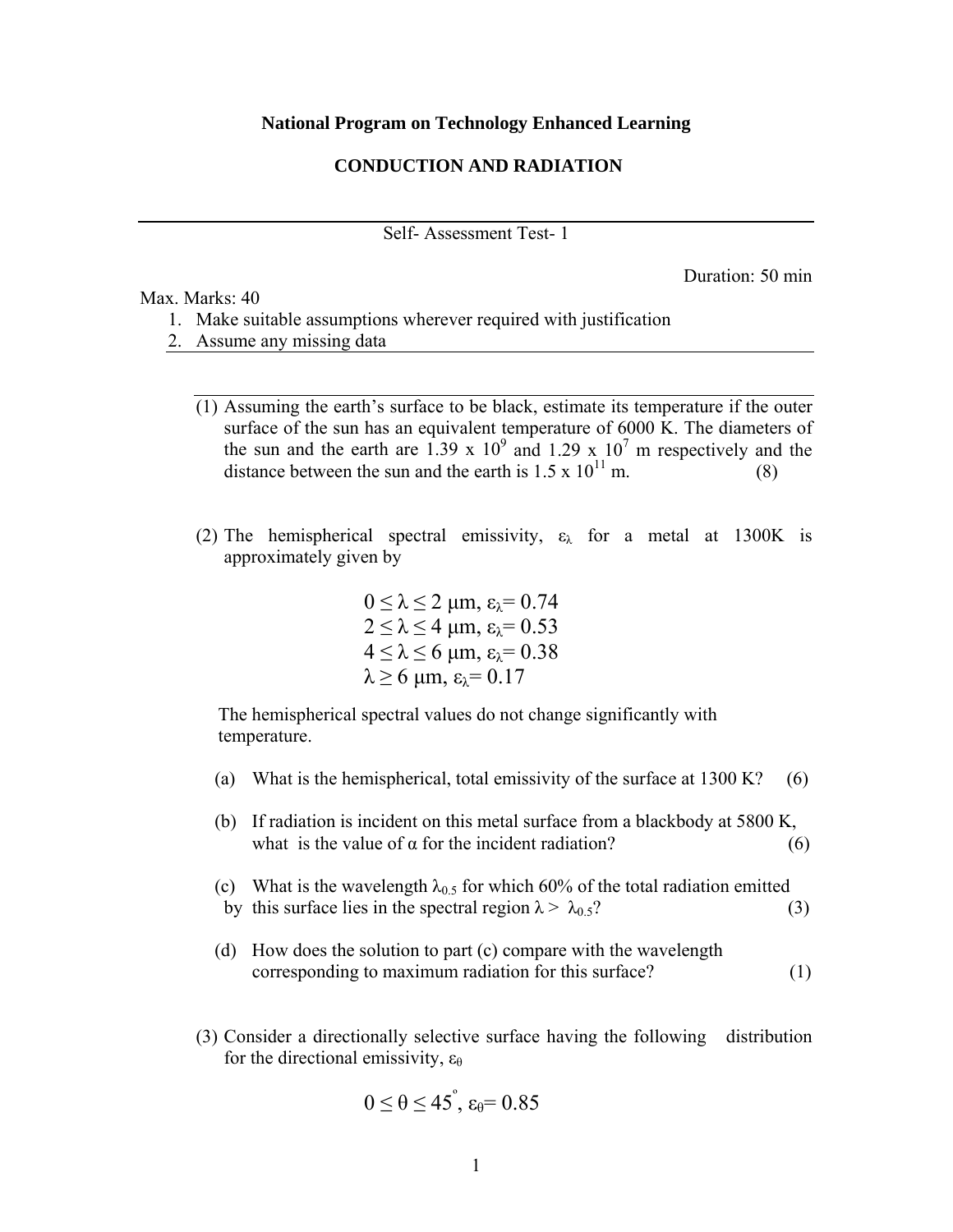## **National Program on Technology Enhanced Learning**

## **CONDUCTION AND RADIATION**

Self- Assessment Test- 1

Duration: 50 min

Max. Marks: 40

- 1. Make suitable assumptions wherever required with justification
- 2. Assume any missing data
	- (1) Assuming the earth's surface to be black, estimate its temperature if the outer surface of the sun has an equivalent temperature of 6000 K. The diameters of the sun and the earth are 1.39 x  $10^9$  and 1.29 x  $10^7$  m respectively and the distance between the sun and the earth is  $1.5 \times 10^{11}$  m.
	- (2) The hemispherical spectral emissivity,  $\varepsilon_{\lambda}$  for a metal at 1300K is approximately given by

 $0 \leq \lambda \leq 2$  μm,  $\varepsilon_{\lambda} = 0.74$  $2 < \lambda < 4$  μm,  $\varepsilon_{\lambda} = 0.53$  $4 \leq \lambda \leq 6$  μm,  $\varepsilon_{\lambda} = 0.38$  $λ > 6$  μm,  $ε<sub>λ</sub> = 0.17$ 

The hemispherical spectral values do not change significantly with temperature.

- (a) What is the hemispherical, total emissivity of the surface at  $1300 K?$  (6)
- (b) If radiation is incident on this metal surface from a blackbody at 5800 K, what is the value of  $\alpha$  for the incident radiation? (6)
- (c) What is the wavelength  $\lambda_{0.5}$  for which 60% of the total radiation emitted by this surface lies in the spectral region  $\lambda > \lambda_{0.5}$ ? (3)
- (d) How does the solution to part (c) compare with the wavelength corresponding to maximum radiation for this surface? (1)
- (3) Consider a directionally selective surface having the following distribution for the directional emissivity,  $\varepsilon_{\theta}$

$$
0\leq \theta \leq 45^{\degree}, \, \epsilon_{\theta} = 0.85
$$